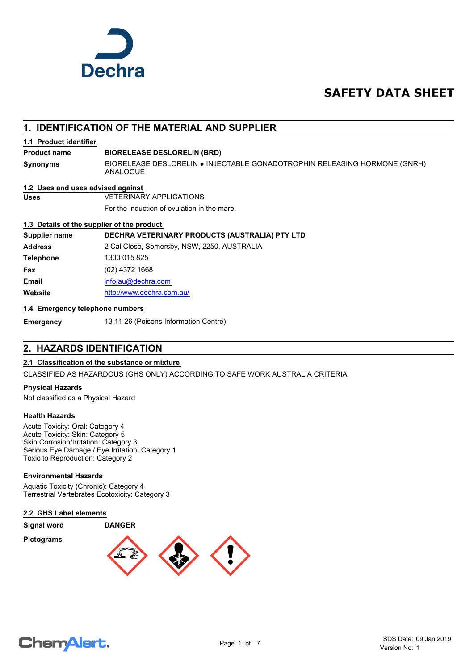

# **SAFETY DATA SHEET**

# **1. IDENTIFICATION OF THE MATERIAL AND SUPPLIER**

### **1.1 Product identifier**

#### **Product name BIORELEASE DESLORELIN (BRD)**

**Synonyms**

BIORELEASE DESLORELIN ● INJECTABLE GONADOTROPHIN RELEASING HORMONE (GNRH) ANALOGUE

#### **1.2 Uses and uses advised against**

**Uses** VETERINARY APPLICATIONS

For the induction of ovulation in the mare.

### **1.3 Details of the supplier of the product**

**Supplier name DECHRA VETERINARY PRODUCTS (AUSTRALIA) PTY LTD Address** 2 Cal Close, Somersby, NSW, 2250, AUSTRALIA

| 2 Cal Close, Somersby, NSW, 2250, AUSTRALI |
|--------------------------------------------|
| 1300 015 825                               |
| (02) 4372 1668                             |
| info.au@dechra.com                         |
| http://www.dechra.com.au/                  |
|                                            |

### **1.4 Emergency telephone numbers**

**Emergency** 13 11 26 (Poisons Information Centre)

# **2. HAZARDS IDENTIFICATION**

### **2.1 Classification of the substance or mixture**

CLASSIFIED AS HAZARDOUS (GHS ONLY) ACCORDING TO SAFE WORK AUSTRALIA CRITERIA

### **Physical Hazards**

Not classified as a Physical Hazard

### **Health Hazards**

Acute Toxicity: Oral: Category 4 Acute Toxicity: Skin: Category 5 Skin Corrosion/Irritation: Category 3 Serious Eye Damage / Eye Irritation: Category 1 Toxic to Reproduction: Category 2

### **Environmental Hazards**

Aquatic Toxicity (Chronic): Category 4 Terrestrial Vertebrates Ecotoxicity: Category 3

#### **2.2 GHS Label elements**

**Signal word DANGER**

**Pictograms**



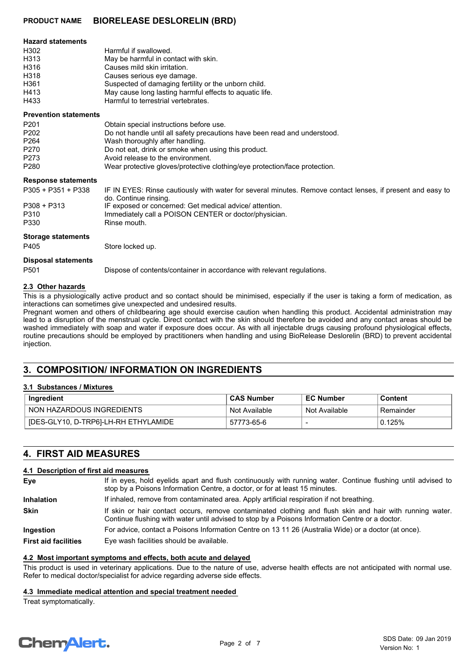| <b>Hazard statements</b> |                                                         |
|--------------------------|---------------------------------------------------------|
| H302                     | Harmful if swallowed.                                   |
| H313                     | May be harmful in contact with skin.                    |
| H316                     | Causes mild skin irritation.                            |
| H318                     | Causes serious eye damage.                              |
| H361                     | Suspected of damaging fertility or the unborn child.    |
| H413                     | May cause long lasting harmful effects to aguatic life. |
| H433                     | Harmful to terrestrial vertebrates.                     |

#### **Prevention statements**

| <b>Prevention statements</b> |                                                                                                                                     |
|------------------------------|-------------------------------------------------------------------------------------------------------------------------------------|
| P <sub>201</sub>             | Obtain special instructions before use.                                                                                             |
| P <sub>202</sub>             | Do not handle until all safety precautions have been read and understood.                                                           |
| P <sub>264</sub>             | Wash thoroughly after handling.                                                                                                     |
| P270                         | Do not eat, drink or smoke when using this product.                                                                                 |
| P273                         | Avoid release to the environment.                                                                                                   |
| P <sub>280</sub>             | Wear protective gloves/protective clothing/eye protection/face protection.                                                          |
| <b>Response statements</b>   |                                                                                                                                     |
| $P305 + P351 + P338$         | IF IN EYES: Rinse cautiously with water for several minutes. Remove contact lenses, if present and easy to<br>do. Continue rinsing. |
| $P308 + P313$                | IF exposed or concerned: Get medical advice/attention.                                                                              |
| P310                         | Immediately call a POISON CENTER or doctor/physician.                                                                               |
| P330                         | Rinse mouth.                                                                                                                        |
| <b>Storage statements</b>    |                                                                                                                                     |
| P405                         | Store locked up.                                                                                                                    |
| <b>Disposal statements</b>   |                                                                                                                                     |
| P <sub>501</sub>             | Dispose of contents/container in accordance with relevant regulations.                                                              |

#### **2.3 Other hazards**

This is a physiologically active product and so contact should be minimised, especially if the user is taking a form of medication, as interactions can sometimes give unexpected and undesired results.

Pregnant women and others of childbearing age should exercise caution when handling this product. Accidental administration may lead to a disruption of the menstrual cycle. Direct contact with the skin should therefore be avoided and any contact areas should be washed immediately with soap and water if exposure does occur. As with all injectable drugs causing profound physiological effects, routine precautions should be employed by practitioners when handling and using BioRelease Deslorelin (BRD) to prevent accidental injection.

# **3. COMPOSITION/ INFORMATION ON INGREDIENTS**

#### **3.1 Substances / Mixtures**

| Ingredient                           | <b>CAS Number</b> | <b>EC Number</b> | Content   |
|--------------------------------------|-------------------|------------------|-----------|
| NON HAZARDOUS INGREDIENTS            | Not Available     | Not Available    | Remainder |
| [DES-GLY10, D-TRP6]-LH-RH ETHYLAMIDE | 57773-65-6        |                  | 0.125%    |

# **4. FIRST AID MEASURES**

#### **4.1 Description of first aid measures**

| Eve                         | If in eyes, hold eyelids apart and flush continuously with running water. Continue flushing until advised to<br>stop by a Poisons Information Centre, a doctor, or for at least 15 minutes.                 |  |
|-----------------------------|-------------------------------------------------------------------------------------------------------------------------------------------------------------------------------------------------------------|--|
| <b>Inhalation</b>           | If inhaled, remove from contaminated area. Apply artificial respiration if not breathing.                                                                                                                   |  |
| <b>Skin</b>                 | If skin or hair contact occurs, remove contaminated clothing and flush skin and hair with running water.<br>Continue flushing with water until advised to stop by a Poisons Information Centre or a doctor. |  |
| Ingestion                   | For advice, contact a Poisons Information Centre on 13 11 26 (Australia Wide) or a doctor (at once).                                                                                                        |  |
| <b>First aid facilities</b> | Eye wash facilities should be available.                                                                                                                                                                    |  |

#### **4.2 Most important symptoms and effects, both acute and delayed**

This product is used in veterinary applications. Due to the nature of use, adverse health effects are not anticipated with normal use. Refer to medical doctor/specialist for advice regarding adverse side effects.

#### **4.3 Immediate medical attention and special treatment needed**

Treat symptomatically.

# **ChemAlert.**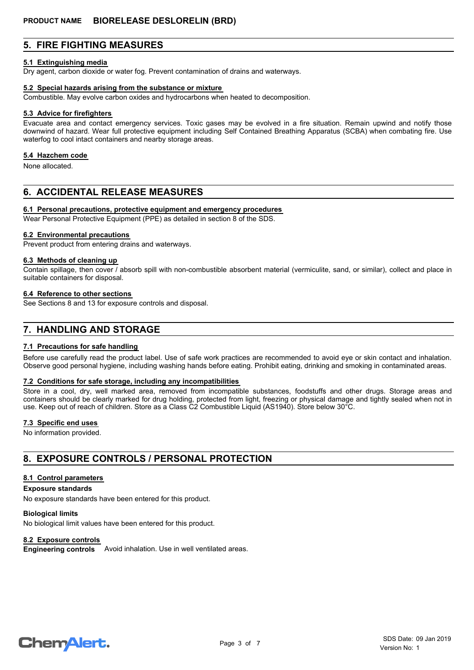# **5. FIRE FIGHTING MEASURES**

#### **5.1 Extinguishing media**

Dry agent, carbon dioxide or water fog. Prevent contamination of drains and waterways.

#### **5.2 Special hazards arising from the substance or mixture**

Combustible. May evolve carbon oxides and hydrocarbons when heated to decomposition.

#### **5.3 Advice for firefighters**

Evacuate area and contact emergency services. Toxic gases may be evolved in a fire situation. Remain upwind and notify those downwind of hazard. Wear full protective equipment including Self Contained Breathing Apparatus (SCBA) when combating fire. Use waterfog to cool intact containers and nearby storage areas.

#### **5.4 Hazchem code**

None allocated.

# **6. ACCIDENTAL RELEASE MEASURES**

#### **6.1 Personal precautions, protective equipment and emergency procedures**

Wear Personal Protective Equipment (PPE) as detailed in section 8 of the SDS.

#### **6.2 Environmental precautions**

Prevent product from entering drains and waterways.

#### **6.3 Methods of cleaning up**

Contain spillage, then cover / absorb spill with non-combustible absorbent material (vermiculite, sand, or similar), collect and place in suitable containers for disposal.

#### **6.4 Reference to other sections**

See Sections 8 and 13 for exposure controls and disposal.

# **7. HANDLING AND STORAGE**

#### **7.1 Precautions for safe handling**

Before use carefully read the product label. Use of safe work practices are recommended to avoid eye or skin contact and inhalation. Observe good personal hygiene, including washing hands before eating. Prohibit eating, drinking and smoking in contaminated areas.

#### **7.2 Conditions for safe storage, including any incompatibilities**

Store in a cool, dry, well marked area, removed from incompatible substances, foodstuffs and other drugs. Storage areas and containers should be clearly marked for drug holding, protected from light, freezing or physical damage and tightly sealed when not in use. Keep out of reach of children. Store as a Class C2 Combustible Liquid (AS1940). Store below 30°C.

#### **7.3 Specific end uses**

No information provided.

# **8. EXPOSURE CONTROLS / PERSONAL PROTECTION**

#### **8.1 Control parameters**

#### **Exposure standards**

No exposure standards have been entered for this product.

#### **Biological limits**

No biological limit values have been entered for this product.

#### **8.2 Exposure controls**

**Engineering controls** Avoid inhalation. Use in well ventilated areas.

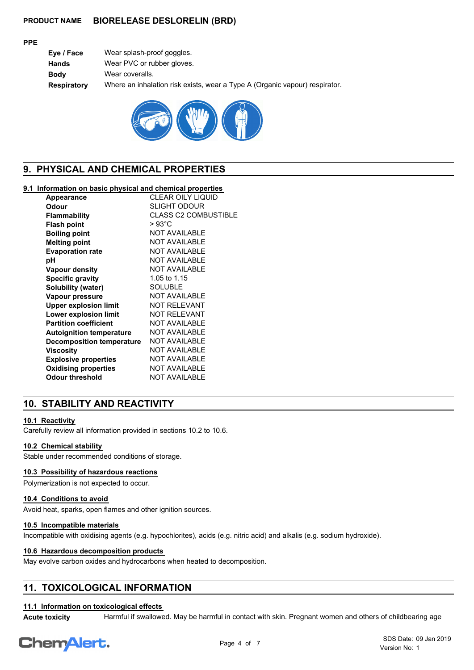### **PPE**

| Eye / Face  | Wear splash-proof goggles.                                                  |
|-------------|-----------------------------------------------------------------------------|
| Hands       | Wear PVC or rubber gloves.                                                  |
| Bodv        | Wear coveralls.                                                             |
| Respiratory | Where an inhalation risk exists, wear a Type A (Organic vapour) respirator. |
|             |                                                                             |



# **9. PHYSICAL AND CHEMICAL PROPERTIES**

### **9.1 Information on basic physical and chemical properties**

| Appearance                       | CLEAR OILY LIQUID           |
|----------------------------------|-----------------------------|
| Odour                            | SLIGHT ODOUR                |
| <b>Flammability</b>              | <b>CLASS C2 COMBUSTIBLE</b> |
| <b>Flash point</b>               | > 93°C                      |
| <b>Boiling point</b>             | <b>NOT AVAILABLE</b>        |
| <b>Melting point</b>             | <b>NOT AVAILABLE</b>        |
| <b>Evaporation rate</b>          | <b>NOT AVAILABLE</b>        |
| рH                               | <b>NOT AVAILABLE</b>        |
| <b>Vapour density</b>            | <b>NOT AVAILABLE</b>        |
| <b>Specific gravity</b>          | 1.05 to 1.15                |
| Solubility (water)               | <b>SOLUBLE</b>              |
| Vapour pressure                  | <b>NOT AVAILABLE</b>        |
| <b>Upper explosion limit</b>     | <b>NOT RELEVANT</b>         |
| Lower explosion limit            | <b>NOT RELEVANT</b>         |
| <b>Partition coefficient</b>     | <b>NOT AVAILABLE</b>        |
| <b>Autoignition temperature</b>  | <b>NOT AVAILABLE</b>        |
| <b>Decomposition temperature</b> | <b>NOT AVAILABLE</b>        |
| Viscosity                        | <b>NOT AVAILABLE</b>        |
| <b>Explosive properties</b>      | <b>NOT AVAILABLE</b>        |
| <b>Oxidising properties</b>      | <b>NOT AVAILABLE</b>        |
| <b>Odour threshold</b>           | <b>NOT AVAILABLE</b>        |
|                                  |                             |

# **10. STABILITY AND REACTIVITY**

### **10.1 Reactivity**

Carefully review all information provided in sections 10.2 to 10.6.

### **10.2 Chemical stability**

Stable under recommended conditions of storage.

## **10.3 Possibility of hazardous reactions**

Polymerization is not expected to occur.

#### **10.4 Conditions to avoid**

Avoid heat, sparks, open flames and other ignition sources.

#### **10.5 Incompatible materials**

Incompatible with oxidising agents (e.g. hypochlorites), acids (e.g. nitric acid) and alkalis (e.g. sodium hydroxide).

#### **10.6 Hazardous decomposition products**

May evolve carbon oxides and hydrocarbons when heated to decomposition.

# **11. TOXICOLOGICAL INFORMATION**

# **11.1 Information on toxicological effects**

**Acute toxicity** Harmful if swallowed. May be harmful in contact with skin. Pregnant women and others of childbearing age

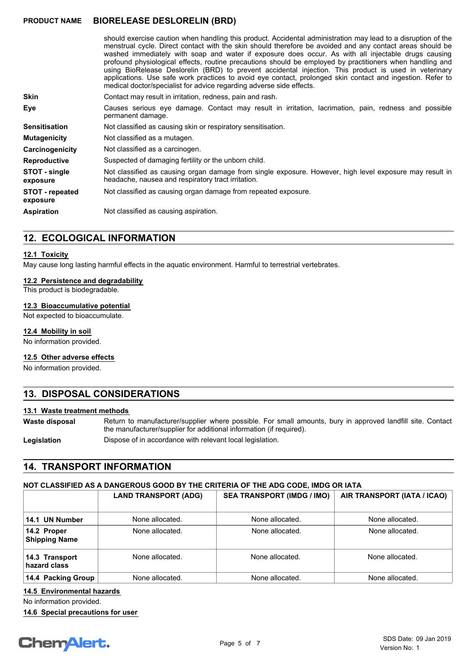should exercise caution when handling this product. Accidental administration may lead to a disruption of the menstrual cycle. Direct contact with the skin should therefore be avoided and any contact areas should be washed immediately with soap and water if exposure does occur. As with all injectable drugs causing profound physiological effects, routine precautions should be employed by practitioners when handling and using BioRelease Deslorelin (BRD) to prevent accidental injection. This product is used in veterinary applications. Use safe work practices to avoid eye contact, prolonged skin contact and ingestion. Refer to medical doctor/specialist for advice regarding adverse side effects.

**Skin** Contact may result in irritation, redness, pain and rash. Causes serious eye damage. Contact may result in irritation, lacrimation, pain, redness and possible permanent damage. **Eye Sensitisation** Not classified as causing skin or respiratory sensitisation. Not classified as causing organ damage from single exposure. However, high level exposure may result in headache, nausea and respiratory tract irritation. **STOT - single exposure STOT - repeated** Not classified as causing organ damage from repeated exposure. **exposure Reproductive** Suspected of damaging fertility or the unborn child. **Carcinogenicity** Not classified as a carcinogen. **Mutagenicity** Not classified as a mutagen.

**Aspiration** Not classified as causing aspiration.

# **12. ECOLOGICAL INFORMATION**

#### **12.1 Toxicity**

May cause long lasting harmful effects in the aquatic environment. Harmful to terrestrial vertebrates.

#### **12.2 Persistence and degradability**

This product is biodegradable.

### **12.3 Bioaccumulative potential**

Not expected to bioaccumulate.

#### **12.4 Mobility in soil**

No information provided.

#### **12.5 Other adverse effects**

No information provided.

# **13. DISPOSAL CONSIDERATIONS**

#### **13.1 Waste treatment methods**

Return to manufacturer/supplier where possible. For small amounts, bury in approved landfill site. Contact the manufacturer/supplier for additional information (if required). **Waste disposal**

Legislation **Dispose of in accordance with relevant local legislation.** 

# **14. TRANSPORT INFORMATION**

#### **NOT CLASSIFIED AS A DANGEROUS GOOD BY THE CRITERIA OF THE ADG CODE, IMDG OR IATA**

|                                     | <b>LAND TRANSPORT (ADG)</b> | <b>SEA TRANSPORT (IMDG / IMO)</b> | AIR TRANSPORT (IATA / ICAO) |
|-------------------------------------|-----------------------------|-----------------------------------|-----------------------------|
| 14.1 UN Number                      | None allocated.             | None allocated.                   | None allocated.             |
| 14.2 Proper<br><b>Shipping Name</b> | None allocated.             | None allocated.                   | None allocated.             |
| 14.3 Transport<br>hazard class      | None allocated.             | None allocated.                   | None allocated.             |
| 14.4 Packing Group                  | None allocated.             | None allocated.                   | None allocated.             |

## **14.5 Environmental hazards**

No information provided.

**14.6 Special precautions for user**

# **ChemAlert.**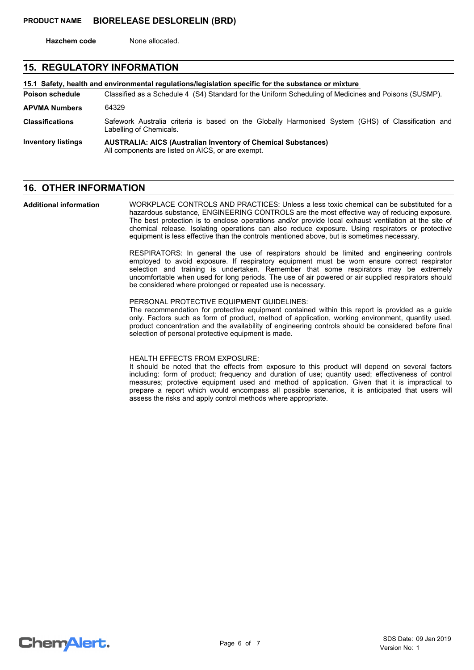**Hazchem code** None allocated.

# **15. REGULATORY INFORMATION**

Classified as a Schedule 4 (S4) Standard for the Uniform Scheduling of Medicines and Poisons (SUSMP). **15.1 Safety, health and environmental regulations/legislation specific for the substance or mixture Poison schedule AUSTRALIA: AICS (Australian Inventory of Chemical Substances)** All components are listed on AICS, or are exempt. **Inventory listings** Safework Australia criteria is based on the Globally Harmonised System (GHS) of Classification and Labelling of Chemicals. **Classifications APVMA Numbers** 64329

# **16. OTHER INFORMATION**

WORKPLACE CONTROLS AND PRACTICES: Unless a less toxic chemical can be substituted for a hazardous substance, ENGINEERING CONTROLS are the most effective way of reducing exposure. The best protection is to enclose operations and/or provide local exhaust ventilation at the site of chemical release. Isolating operations can also reduce exposure. Using respirators or protective equipment is less effective than the controls mentioned above, but is sometimes necessary. **Additional information**

> RESPIRATORS: In general the use of respirators should be limited and engineering controls employed to avoid exposure. If respiratory equipment must be worn ensure correct respirator selection and training is undertaken. Remember that some respirators may be extremely uncomfortable when used for long periods. The use of air powered or air supplied respirators should be considered where prolonged or repeated use is necessary.

#### PERSONAL PROTECTIVE EQUIPMENT GUIDELINES:

The recommendation for protective equipment contained within this report is provided as a guide only. Factors such as form of product, method of application, working environment, quantity used, product concentration and the availability of engineering controls should be considered before final selection of personal protective equipment is made.

#### HEALTH EFFECTS FROM EXPOSURE:

It should be noted that the effects from exposure to this product will depend on several factors including: form of product; frequency and duration of use; quantity used; effectiveness of control measures; protective equipment used and method of application. Given that it is impractical to prepare a report which would encompass all possible scenarios, it is anticipated that users will assess the risks and apply control methods where appropriate.